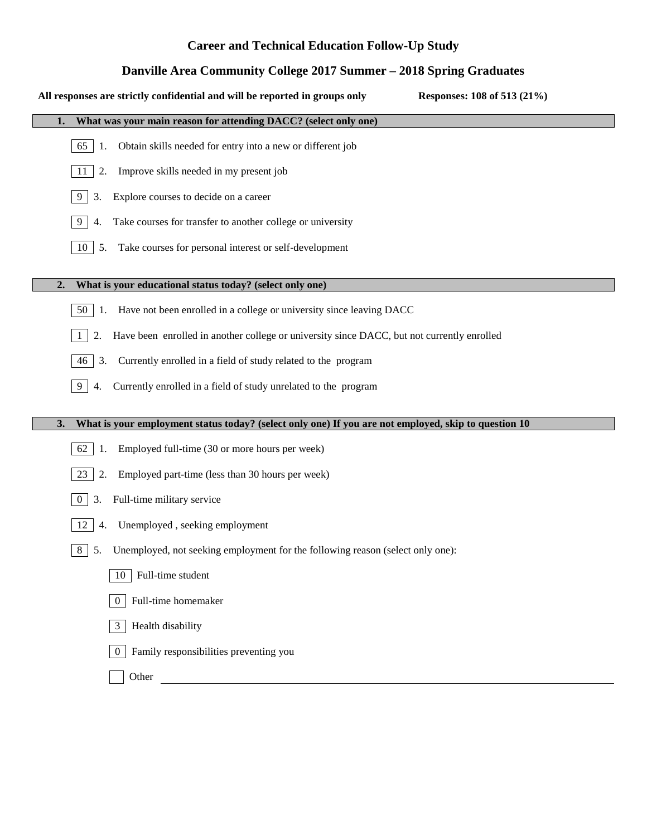# **Career and Technical Education Follow-Up Study**

# **Danville Area Community College 2017 Summer – 2018 Spring Graduates**

#### **All responses are strictly confidential and will be reported in groups only Responses: 108 of 513 (21%)**

| What was your main reason for attending DACC? (select only one)                                  |  |  |  |  |  |  |  |  |
|--------------------------------------------------------------------------------------------------|--|--|--|--|--|--|--|--|
| Obtain skills needed for entry into a new or different job<br>65<br>-1.                          |  |  |  |  |  |  |  |  |
| Improve skills needed in my present job<br>2.<br>11                                              |  |  |  |  |  |  |  |  |
| Explore courses to decide on a career<br>9<br>3.                                                 |  |  |  |  |  |  |  |  |
| Take courses for transfer to another college or university<br>9<br>4.                            |  |  |  |  |  |  |  |  |
| Take courses for personal interest or self-development<br>10<br>5.                               |  |  |  |  |  |  |  |  |
|                                                                                                  |  |  |  |  |  |  |  |  |
| What is your educational status today? (select only one)<br>2.                                   |  |  |  |  |  |  |  |  |
| Have not been enrolled in a college or university since leaving DACC<br>50                       |  |  |  |  |  |  |  |  |
| Have been enrolled in another college or university since DACC, but not currently enrolled<br>2. |  |  |  |  |  |  |  |  |

- 46 3. Currently enrolled in a field of study related to the program
- 9 4. Currently enrolled in a field of study unrelated to the program

### **3. What is your employment status today? (select only one) If you are not employed, skip to question 10**

- 62 1. Employed full-time (30 or more hours per week)
- 23 2. Employed part-time (less than 30 hours per week)
- 0 3. Full-time military service
- 12 4. Unemployed , seeking employment
- 8 5. Unemployed, not seeking employment for the following reason (select only one):





- 3 Health disability
- 0 Family responsibilities preventing you
	- **Other**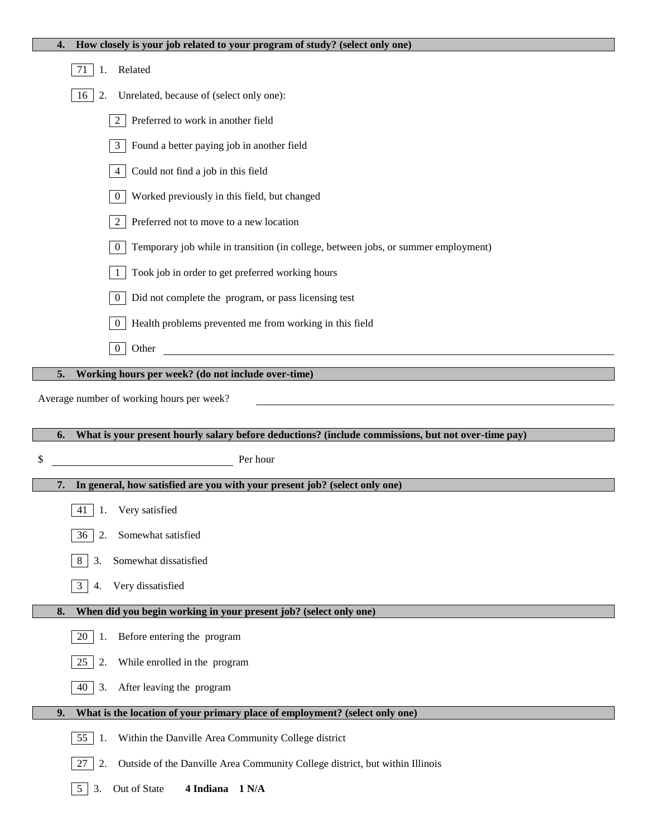| How closely is your job related to your program of study? (select only one)<br>4.                      |  |  |  |  |  |  |  |
|--------------------------------------------------------------------------------------------------------|--|--|--|--|--|--|--|
| 71<br>Related<br>1.                                                                                    |  |  |  |  |  |  |  |
| Unrelated, because of (select only one):<br>16<br>2.                                                   |  |  |  |  |  |  |  |
| Preferred to work in another field<br>2                                                                |  |  |  |  |  |  |  |
| Found a better paying job in another field<br>3 <sup>7</sup>                                           |  |  |  |  |  |  |  |
| Could not find a job in this field<br>$\overline{4}$                                                   |  |  |  |  |  |  |  |
| Worked previously in this field, but changed<br>$\mathbf{0}$                                           |  |  |  |  |  |  |  |
| Preferred not to move to a new location<br>$\overline{2}$                                              |  |  |  |  |  |  |  |
| $\boldsymbol{0}$<br>Temporary job while in transition (in college, between jobs, or summer employment) |  |  |  |  |  |  |  |
| Took job in order to get preferred working hours<br>$\mathbf{1}$                                       |  |  |  |  |  |  |  |
| Did not complete the program, or pass licensing test<br>$\mathbf{0}$                                   |  |  |  |  |  |  |  |
| Health problems prevented me from working in this field<br>$\overline{0}$                              |  |  |  |  |  |  |  |
| $\overline{0}$<br>Other<br><u> 1980 - Jan Samuel Barbara, martin di</u>                                |  |  |  |  |  |  |  |
| Working hours per week? (do not include over-time)<br>5.                                               |  |  |  |  |  |  |  |
| Average number of working hours per week?                                                              |  |  |  |  |  |  |  |
|                                                                                                        |  |  |  |  |  |  |  |
|                                                                                                        |  |  |  |  |  |  |  |
| What is your present hourly salary before deductions? (include commissions, but not over-time pay)     |  |  |  |  |  |  |  |
| \$<br>Per hour                                                                                         |  |  |  |  |  |  |  |
| In general, how satisfied are you with your present job? (select only one)                             |  |  |  |  |  |  |  |
| 41 1. Very satisfied                                                                                   |  |  |  |  |  |  |  |
| Somewhat satisfied<br>36<br>2.                                                                         |  |  |  |  |  |  |  |
| Somewhat dissatisfied<br>8<br>3.                                                                       |  |  |  |  |  |  |  |
| Very dissatisfied<br>3 <sup>1</sup><br>4.                                                              |  |  |  |  |  |  |  |
| When did you begin working in your present job? (select only one)<br>8.                                |  |  |  |  |  |  |  |
| Before entering the program<br>20<br>1.                                                                |  |  |  |  |  |  |  |
| 25<br>While enrolled in the program<br>2.                                                              |  |  |  |  |  |  |  |
| After leaving the program<br>40<br>3.                                                                  |  |  |  |  |  |  |  |
| What is the location of your primary place of employment? (select only one)<br>9.                      |  |  |  |  |  |  |  |
| 55<br>Within the Danville Area Community College district<br>1.                                        |  |  |  |  |  |  |  |
| Outside of the Danville Area Community College district, but within Illinois<br>27<br>2.               |  |  |  |  |  |  |  |